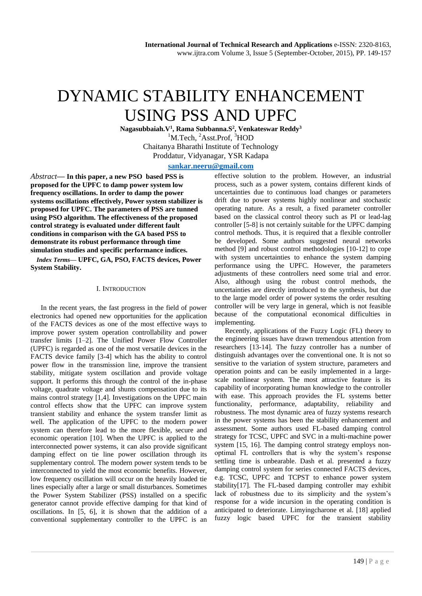# DYNAMIC STABILITY ENHANCEMENT USING PSS AND UPFC

**Nagasubbaiah.V<sup>1</sup> , Rama Subbanna.S<sup>2</sup> , Venkateswar Reddy<sup>3</sup>** <sup>1</sup>M.Tech, <sup>2</sup>Asst.Prof, <sup>3</sup>HOD Chaitanya Bharathi Institute of Technology Proddatur, Vidyanagar, YSR Kadapa

# **[sankar.neeru@gmail.com](mailto:sankar.neeru@gmail.com)**

*Abstract***— In this paper, a new PSO based PSS is proposed for the UPFC to damp power system low frequency oscillations. In order to damp the power systems oscillations effectively, Power system stabilizer is proposed for UPFC. The parameters of PSS are tunned using PSO algorithm. The effectiveness of the proposed control strategy is evaluated under different fault conditions in comparison with the GA based PSS to demonstrate its robust performance through time simulation studies and specific performance indices.** 

*Index Terms***— UPFC, GA, PSO, FACTS devices, Power System Stability.**

#### I. INTRODUCTION

In the recent years, the fast progress in the field of power electronics had opened new opportunities for the application of the FACTS devices as one of the most effective ways to improve power system operation controllability and power transfer limits [1–2]. The Unified Power Flow Controller (UPFC) is regarded as one of the most versatile devices in the FACTS device family [3-4] which has the ability to control power flow in the transmission line, improve the transient stability, mitigate system oscillation and provide voltage support. It performs this through the control of the in-phase voltage, quadrate voltage and shunts compensation due to its mains control strategy [1,4]. Investigations on the UPFC main control effects show that the UPFC can improve system transient stability and enhance the system transfer limit as well. The application of the UPFC to the modern power system can therefore lead to the more flexible, secure and economic operation [10]. When the UPFC is applied to the interconnected power systems, it can also provide significant damping effect on tie line power oscillation through its supplementary control. The modern power system tends to be interconnected to yield the most economic benefits. However, low frequency oscillation will occur on the heavily loaded tie lines especially after a large or small disturbances. Sometimes the Power System Stabilizer (PSS) installed on a specific generator cannot provide effective damping for that kind of oscillations. In [5, 6], it is shown that the addition of a conventional supplementary controller to the UPFC is an

effective solution to the problem. However, an industrial process, such as a power system, contains different kinds of uncertainties due to continuous load changes or parameters drift due to power systems highly nonlinear and stochastic operating nature. As a result, a fixed parameter controller based on the classical control theory such as PI or lead-lag controller [5-8] is not certainly suitable for the UPFC damping control methods. Thus, it is required that a flexible controller be developed. Some authors suggested neural networks method [9] and robust control methodologies [10-12] to cope with system uncertainties to enhance the system damping performance using the UPFC. However, the parameters adjustments of these controllers need some trial and error. Also, although using the robust control methods, the uncertainties are directly introduced to the synthesis, but due to the large model order of power systems the order resulting controller will be very large in general, which is not feasible because of the computational economical difficulties in implementing.

Recently, applications of the Fuzzy Logic (FL) theory to the engineering issues have drawn tremendous attention from researchers [13-14]. The fuzzy controller has a number of distinguish advantages over the conventional one. It is not so sensitive to the variation of system structure, parameters and operation points and can be easily implemented in a largescale nonlinear system. The most attractive feature is its capability of incorporating human knowledge to the controller with ease. This approach provides the FL systems better functionality, performance, adaptability, reliability and robustness. The most dynamic area of fuzzy systems research in the power systems has been the stability enhancement and assessment. Some authors used FL-based damping control strategy for TCSC, UPFC and SVC in a multi-machine power system [15, 16]. The damping control strategy employs nonoptimal FL controllers that is why the system's response settling time is unbearable. Dash et al. presented a fuzzy damping control system for series connected FACTS devices, e.g. TCSC, UPFC and TCPST to enhance power system stability[17]. The FL-based damping controller may exhibit lack of robustness due to its simplicity and the system's response for a wide incursion in the operating condition is anticipated to deteriorate. Limyingcharone et al. [18] applied fuzzy logic based UPFC for the transient stability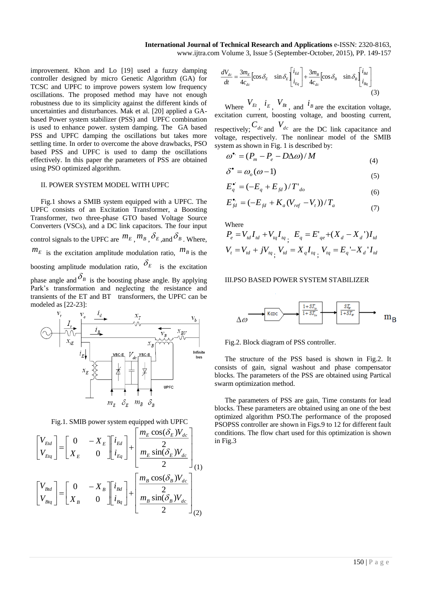improvement. Khon and Lo [19] used a fuzzy damping controller designed by micro Genetic Algorithm (GA) for TCSC and UPFC to improve powers system low frequency oscillations. The proposed method may have not enough robustness due to its simplicity against the different kinds of uncertainties and disturbances. Mak et al. [20] applied a GAbased Power system stabilizer (PSS) and UPFC combination is used to enhance power. system damping. The GA based PSS and UPFC damping the oscillations but takes more settling time. In order to overcome the above drawbacks, PSO based PSS and UPFC is used to damp the oscillations effectively. In this paper the parameters of PSS are obtained using PSO optimized algorithm.

## II. POWER SYSTEM MODEL WITH UPFC

Fig.1 shows a SMIB system equipped with a UPFC. The UPFC consists of an Excitation Transformer, a Boosting Transformer, two three-phase GTO based Voltage Source Converters (VSCs), and a DC link capacitors. The four input control signals to the UPFC are  ${}^{m_E}, {}^{m_B}, {}^{\delta_E}$ , and  ${}^{\delta_B}$ . Where,  $m_E$  is the excitation amplitude modulation ratio,  $m_B$  is the boosting amplitude modulation ratio,  $\delta_E$  is the excitation phase angle and  $\delta_B$  is the boosting phase angle. By applying Park's transformation and neglecting the resistance and transients of the ET and BT transformers, the UPFC can be modeled as [22-23]:



Fig.1. SMIB power system equipped with UPFC

$$
\begin{bmatrix}\nV_{Eld} \\
V_{Elq}\n\end{bmatrix} = \begin{bmatrix}\n0 & -X_E \\
X_E & 0\n\end{bmatrix} \begin{bmatrix}\ni_{Ed} \\
i_{Eq}\n\end{bmatrix} + \begin{bmatrix}\n\frac{m_E \cos(\delta_E)V_{dc}}{2} \\
\frac{m_E \sin(\delta_E)V_{dc}}{2} \\
\end{bmatrix}
$$
\n
$$
\begin{bmatrix}\nV_{Bld} \\
V_{Blq}\n\end{bmatrix} = \begin{bmatrix}\n0 & -X_B \\
X_B & 0\n\end{bmatrix} \begin{bmatrix}\ni_{Bdl} \\
i_{Bq}\n\end{bmatrix} + \begin{bmatrix}\n\frac{m_B \cos(\delta_B)V_{dc}}{2} \\
\frac{m_B \sin(\delta_B)V_{dc}}{2} \\
\end{bmatrix}
$$
\n(2)

$$
\frac{dV_{dc}}{dt} = \frac{3m_E}{4c_{dc}} \left[ \cos \delta_E \quad \sin \delta_E \left[ \frac{i_{Ed}}{i_{Eq}} \right] + \frac{3m_B}{4c_{dc}} \left[ \cos \delta_B \quad \sin \delta_B \left[ \frac{i_{bd}}{i_{Bq}} \right] \right] \tag{3}
$$

Where  $V_{E_t}$ ,  $i_E$ ,  $V_{B_t}$ , and  $i_B$  are the excitation voltage, excitation current, boosting voltage, and boosting current, respectively;  $C_{dc}$  and  $V_{dc}$  are the DC link capacitance and voltage, respectively. The nonlinear model of the SMIB system as shown in Fig. 1 is described by:

$$
\omega^{\bullet} = (P_m - P_e - D\Delta\omega) / M
$$
  
\n
$$
\delta^{\bullet} = \omega_o (\omega - 1)
$$
\n(4)

$$
E_q^{\bullet'} = (-E_q + E_{fd})/T'_{do}
$$
\n(6)

$$
E_{fd}^{\bullet} = (-E_{fd} + K_a (V_{ref} - V_t))/T_a \tag{7}
$$

Where

$$
P_e = V_{td} I_{td} + V_{tq} I_{tq}, E_q = E'_{qe} + (X_d - X_d') I_{td}
$$
  

$$
V_t = V_{td} + jV_{tq}, V_{td} = X_q I_{tq}, V_{tq} = E_q - X_d' I_{td}
$$

#### III.PSO BASED POWER SYSTEM STABILIZER



Fig.2. Block diagram of PSS controller.

The structure of the PSS based is shown in Fig.2. It consists of gain, signal washout and phase compensator blocks. The parameters of the PSS are obtained using Partical swarm optimization method.

The parameters of PSS are gain, Time constants for lead blocks. These parameters are obtained using an one of the best optimized algorithm PSO.The performance of the proposed PSOPSS controller are shown in Figs.9 to 12 for different fault conditions. The flow chart used for this optimization is shown in Fig.3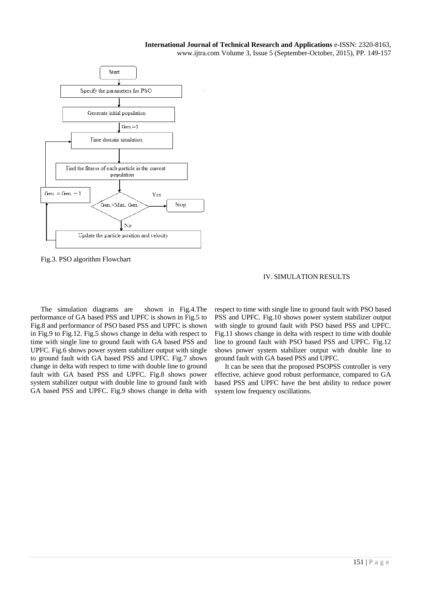

Fig.3. PSO algorithm Flowchart

# IV. SIMULATION RESULTS

The simulation diagrams are shown in Fig.4.The performance of GA based PSS and UPFC is shown in Fig.5 to Fig.8 and performance of PSO based PSS and UPFC is shown in Fig.9 to Fig.12. Fig.5 shows change in delta with respect to time with single line to ground fault with GA based PSS and UPFC. Fig.6 shows power system stabilizer output with single to ground fault with GA based PSS and UPFC. Fig.7 shows change in delta with respect to time with double line to ground fault with GA based PSS and UPFC. Fig.8 shows power system stabilizer output with double line to ground fault with GA based PSS and UPFC. Fig.9 shows change in delta with respect to time with single line to ground fault with PSO based PSS and UPFC. Fig.10 shows power system stabilizer output with single to ground fault with PSO based PSS and UPFC. Fig.11 shows change in delta with respect to time with double line to ground fault with PSO based PSS and UPFC. Fig.12 shows power system stabilizer output with double line to ground fault with GA based PSS and UPFC.

It can be seen that the proposed PSOPSS controller is very effective, achieve good robust performance, compared to GA based PSS and UPFC have the best ability to reduce power system low frequency oscillations.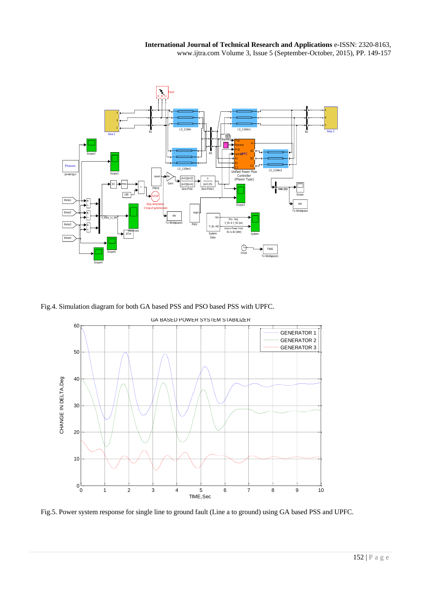

Fig.4. Simulation diagram for both GA based PSS and PSO based PSS with UPFC.



Fig.5. Power system response for single line to ground fault (Line a to ground) using GA based PSS and UPFC.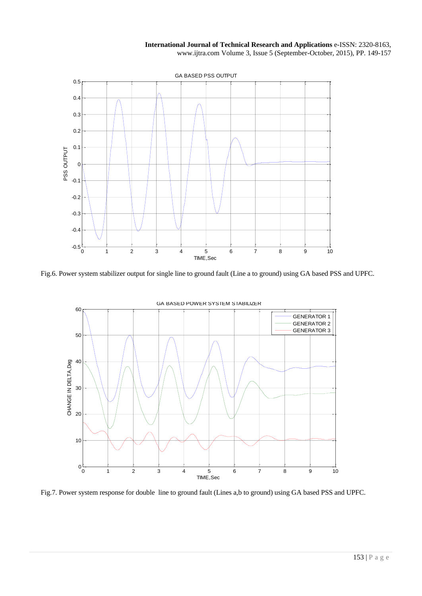

Fig.6. Power system stabilizer output for single line to ground fault (Line a to ground) using GA based PSS and UPFC.



Fig.7. Power system response for double line to ground fault (Lines a,b to ground) using GA based PSS and UPFC.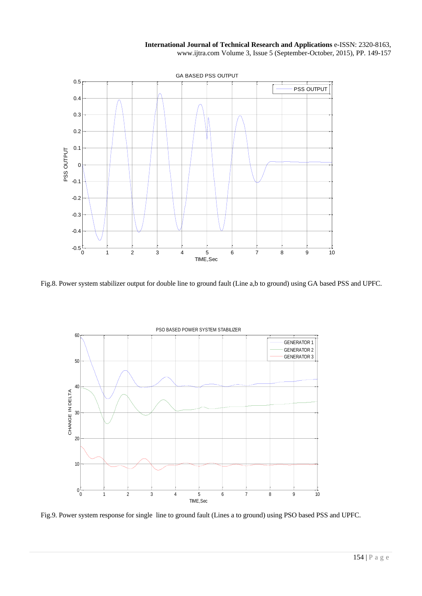

Fig.8. Power system stabilizer output for double line to ground fault (Line a,b to ground) using GA based PSS and UPFC.



Fig.9. Power system response for single line to ground fault (Lines a to ground) using PSO based PSS and UPFC.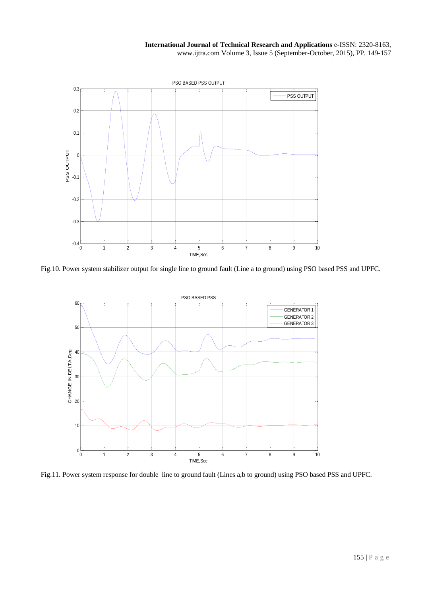

Fig.10. Power system stabilizer output for single line to ground fault (Line a to ground) using PSO based PSS and UPFC.



Fig.11. Power system response for double line to ground fault (Lines a,b to ground) using PSO based PSS and UPFC.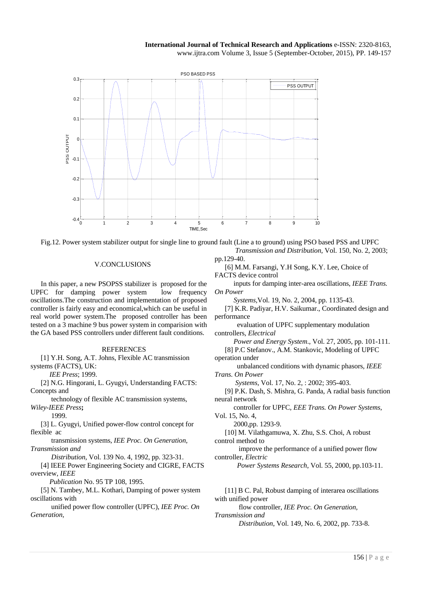



#### V.CONCLUSIONS

In this paper, a new PSOPSS stabilizer is proposed for the UPFC for damping power system low frequency oscillations.The construction and implementation of proposed controller is fairly easy and economical,which can be useful in real world power system.The proposed controller has been tested on a 3 machine 9 bus power system in comparision with the GA based PSS controllers under different fault conditions.

### REFERENCES

[1] Y.H. Song, A.T. Johns, Flexible AC transmission systems (FACTS), UK:

 *IEE Press*; 1999.

[2] N.G. Hingorani, L. Gyugyi, Understanding FACTS: Concepts and

 technology of flexible AC transmission systems, *Wiley-IEEE Press***;** 

1999.

[3] L. Gyugyi, Unified power-flow control concept for flexible ac

 transmission systems, *IEE Proc. On Generation, Transmission and*

*Distribution*, Vol. 139 No. 4, 1992, pp. 323-31.

[4] IEEE Power Engineering Society and CIGRE, FACTS overview, *IEEE* 

 *Publication* No. 95 TP 108, 1995.

[5] N. Tambey, M.L. Kothari, Damping of power system oscillations with

 unified power flow controller (UPFC), *IEE Proc. On Generation,* 

 *Transmission and Distribution*, Vol. 150, No. 2, 2003; pp.129-40.

[6] M.M. Farsangi, Y.H Song, K.Y. Lee, Choice of FACTS device control

 inputs for damping inter-area oscillations, *IEEE Trans. On Power* 

 *Systems*,Vol. 19, No. 2, 2004, pp. 1135-43.

[7] K.R. Padiyar, H.V. Saikumar., Coordinated design and performance

 evaluation of UPFC supplementary modulation controllers, *Electrical*

 *Power and Energy System*., Vol. 27, 2005, pp. 101-111.

[8] P.C Stefanov., A.M. Stankovic, Modeling of UPFC operation under

 unbalanced conditions with dynamic phasors, *IEEE Trans. On Power*

 *Systems*, Vol. 17, No. 2, : 2002; 395-403.

[9] P.K. Dash, S. Mishra, G. Panda, A radial basis function neural network

 controller for UPFC, *EEE Trans. On Power Systems*, Vol. 15, No. 4,

2000,pp. 1293-9.

[10] M. Vilathgamuwa, X. Zhu, S.S. Choi, A robust control method to

 improve the performance of a unified power flow controller, *Electric*

 *Power Systems Research*, Vol. 55, 2000, pp.103-11.

[11] B C. Pal, Robust damping of interarea oscillations with unified power

 flow controller, *IEE Proc. On Generation, Transmission and*

 *Distribution*, Vol. 149, No. 6, 2002, pp. 733-8.